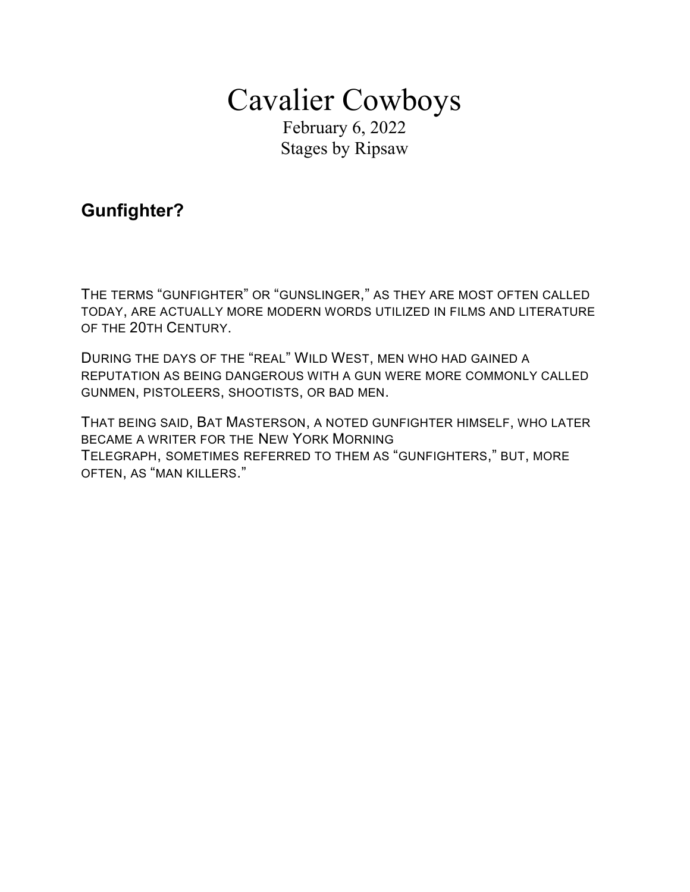# Cavalier Cowboys

February 6, 2022 Stages by Ripsaw

## Gunfighter?

THE TERMS "GUNFIGHTER" OR "GUNSLINGER," AS THEY ARE MOST OFTEN CALLED TODAY, ARE ACTUALLY MORE MODERN WORDS UTILIZED IN FILMS AND LITERATURE OF THE 20TH CENTURY.

DURING THE DAYS OF THE "REAL" WILD WEST, MEN WHO HAD GAINED A REPUTATION AS BEING DANGEROUS WITH A GUN WERE MORE COMMONLY CALLED GUNMEN, PISTOLEERS, SHOOTISTS, OR BAD MEN.

THAT BEING SAID, BAT MASTERSON, A NOTED GUNFIGHTER HIMSELF, WHO LATER BECAME A WRITER FOR THE NEW YORK MORNING TELEGRAPH, SOMETIMES REFERRED TO THEM AS "GUNFIGHTERS," BUT, MORE OFTEN, AS "MAN KILLERS."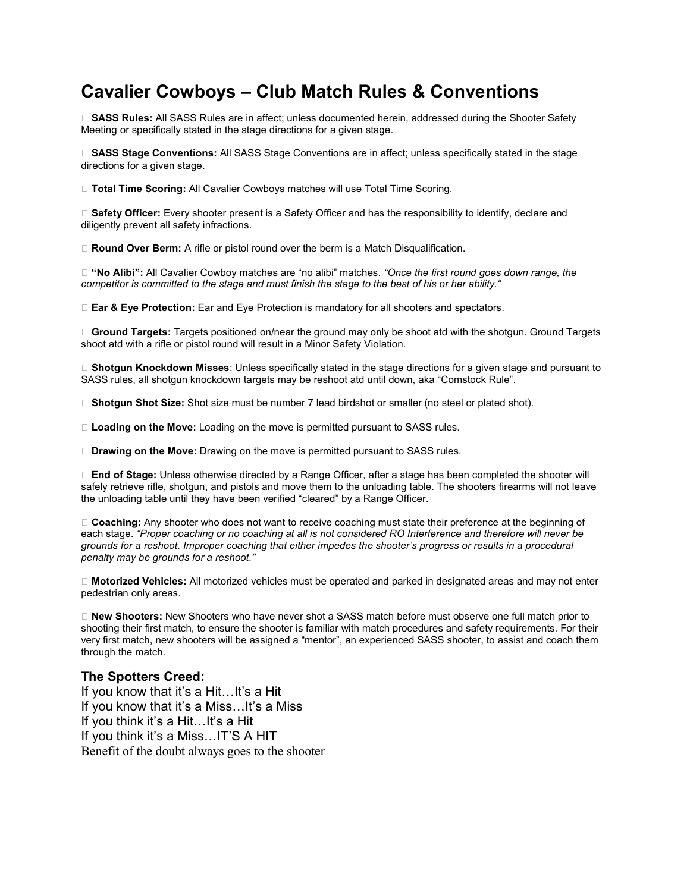## Cavalier Cowboys – Club Match Rules & Conventions

□ SASS Rules: All SASS Rules are in affect; unless documented herein, addressed during the Shooter Safety Meeting or specifically stated in the stage directions for a given stage.

□ SASS Stage Conventions: All SASS Stage Conventions are in affect; unless specifically stated in the stage directions for a given stage.

□ Total Time Scoring: All Cavalier Cowboys matches will use Total Time Scoring.

□ Safety Officer: Every shooter present is a Safety Officer and has the responsibility to identify, declare and diligently prevent all safety infractions.

□ Round Over Berm: A rifle or pistol round over the berm is a Match Disqualification.

□ "No Alibi": All Cavalier Cowboy matches are "no alibi" matches. "Once the first round goes down range, the competitor is committed to the stage and must finish the stage to the best of his or her ability."

□ Ear & Eye Protection: Ear and Eye Protection is mandatory for all shooters and spectators.

 $\Box$  Ground Targets: Targets positioned on/near the ground may only be shoot atd with the shotgun. Ground Targets shoot atd with a rifle or pistol round will result in a Minor Safety Violation.

□ Shotgun Knockdown Misses: Unless specifically stated in the stage directions for a given stage and pursuant to SASS rules, all shotgun knockdown targets may be reshoot atd until down, aka "Comstock Rule".

□ Shotgun Shot Size: Shot size must be number 7 lead birdshot or smaller (no steel or plated shot).

□ Loading on the Move: Loading on the move is permitted pursuant to SASS rules.

D Drawing on the Move: Drawing on the move is permitted pursuant to SASS rules.

□ End of Stage: Unless otherwise directed by a Range Officer, after a stage has been completed the shooter will safely retrieve rifle, shotgun, and pistols and move them to the unloading table. The shooters firearms will not leave the unloading table until they have been verified "cleared" by a Range Officer.

□ Coaching: Any shooter who does not want to receive coaching must state their preference at the beginning of each stage. "Proper coaching or no coaching at all is not considered RO Interference and therefore will never be grounds for a reshoot. Improper coaching that either impedes the shooter's progress or results in a procedural penalty may be grounds for a reshoot."

□ Motorized Vehicles: All motorized vehicles must be operated and parked in designated areas and may not enter pedestrian only areas.

□ New Shooters: New Shooters who have never shot a SASS match before must observe one full match prior to shooting their first match, to ensure the shooter is familiar with match procedures and safety requirements. For their very first match, new shooters will be assigned a "mentor", an experienced SASS shooter, to assist and coach them through the match.

#### The Spotters Creed:

If you know that it's a Hit…It's a Hit If you know that it's a Miss…It's a Miss If you think it's a Hit…It's a Hit If you think it's a Miss…IT'S A HIT Benefit of the doubt always goes to the shooter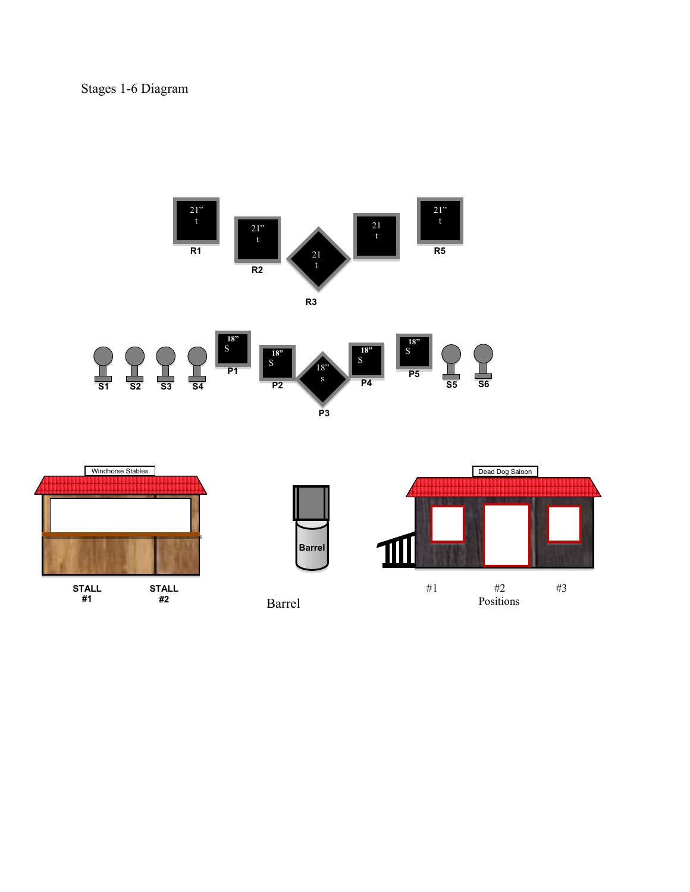Stages 1-6 Diagram



Barrel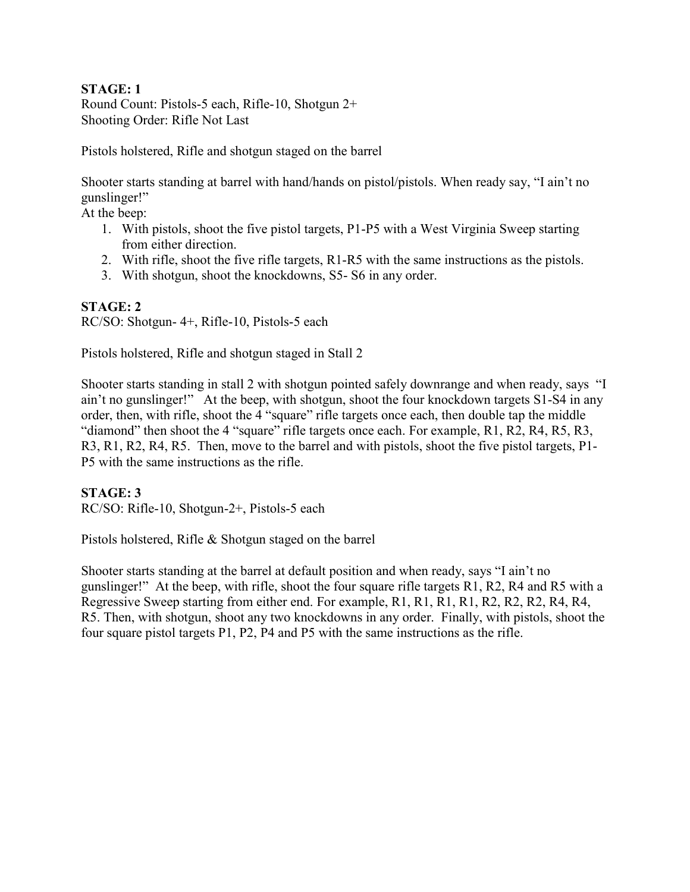### STAGE: 1

Round Count: Pistols-5 each, Rifle-10, Shotgun 2+ Shooting Order: Rifle Not Last

Pistols holstered, Rifle and shotgun staged on the barrel

Shooter starts standing at barrel with hand/hands on pistol/pistols. When ready say, "I ain't no gunslinger!"

At the beep:

- 1. With pistols, shoot the five pistol targets, P1-P5 with a West Virginia Sweep starting from either direction.
- 2. With rifle, shoot the five rifle targets, R1-R5 with the same instructions as the pistols.
- 3. With shotgun, shoot the knockdowns, S5- S6 in any order.

### STAGE: 2

RC/SO: Shotgun- 4+, Rifle-10, Pistols-5 each

Pistols holstered, Rifle and shotgun staged in Stall 2

Shooter starts standing in stall 2 with shotgun pointed safely downrange and when ready, says "I ain't no gunslinger!" At the beep, with shotgun, shoot the four knockdown targets S1-S4 in any order, then, with rifle, shoot the 4 "square" rifle targets once each, then double tap the middle "diamond" then shoot the 4 "square" rifle targets once each. For example, R1, R2, R4, R5, R3, R3, R1, R2, R4, R5. Then, move to the barrel and with pistols, shoot the five pistol targets, P1- P5 with the same instructions as the rifle.

### STAGE: 3

RC/SO: Rifle-10, Shotgun-2+, Pistols-5 each

Pistols holstered, Rifle & Shotgun staged on the barrel

Shooter starts standing at the barrel at default position and when ready, says "I ain't no gunslinger!" At the beep, with rifle, shoot the four square rifle targets R1, R2, R4 and R5 with a Regressive Sweep starting from either end. For example, R1, R1, R1, R1, R2, R2, R2, R4, R4, R5. Then, with shotgun, shoot any two knockdowns in any order. Finally, with pistols, shoot the four square pistol targets P1, P2, P4 and P5 with the same instructions as the rifle.